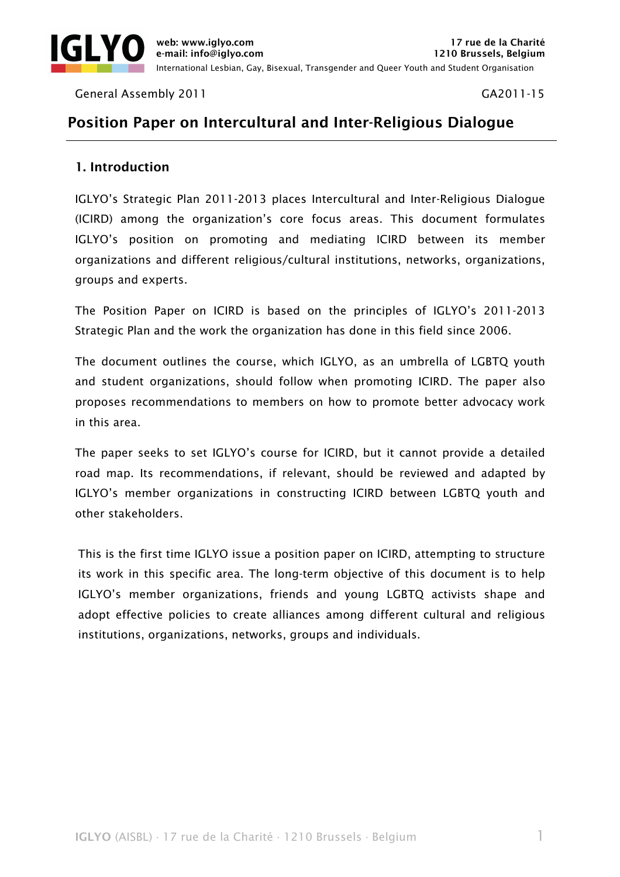

General Assembly 2011 Cases and Canadian Control of the GA2011-15

# Position Paper on Intercultural and Inter-Religious Dialogue

# 1. Introduction

IGLYO's Strategic Plan 2011-2013 places Intercultural and Inter-Religious Dialogue (ICIRD) among the organization's core focus areas. This document formulates IGLYO's position on promoting and mediating ICIRD between its member organizations and different religious/cultural institutions, networks, organizations, groups and experts.

The Position Paper on ICIRD is based on the principles of IGLYO's 2011-2013 Strategic Plan and the work the organization has done in this field since 2006.

The document outlines the course, which IGLYO, as an umbrella of LGBTQ youth and student organizations, should follow when promoting ICIRD. The paper also proposes recommendations to members on how to promote better advocacy work in this area.

The paper seeks to set IGLYO's course for ICIRD, but it cannot provide a detailed road map. Its recommendations, if relevant, should be reviewed and adapted by IGLYO's member organizations in constructing ICIRD between LGBTQ youth and other stakeholders.

This is the first time IGLYO issue a position paper on ICIRD, attempting to structure its work in this specific area. The long-term objective of this document is to help IGLYO's member organizations, friends and young LGBTQ activists shape and adopt effective policies to create alliances among different cultural and religious institutions, organizations, networks, groups and individuals.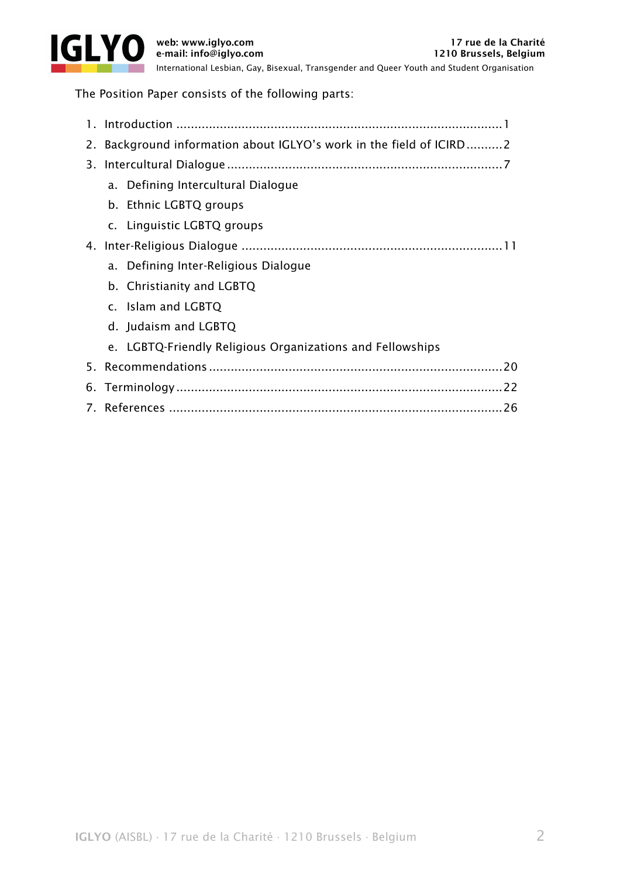

International Lesbian, Gay, Bisexual, Transgender and Queer Youth and Student Organisation

The Position Paper consists of the following parts:

| 2. Background information about IGLYO's work in the field of ICIRD 2 |  |
|----------------------------------------------------------------------|--|
|                                                                      |  |
| a. Defining Intercultural Dialogue                                   |  |
| b. Ethnic LGBTQ groups                                               |  |
| c. Linguistic LGBTQ groups                                           |  |
|                                                                      |  |
| a. Defining Inter-Religious Dialogue                                 |  |
| b. Christianity and LGBTQ                                            |  |
| c. Islam and LGBTQ                                                   |  |
| d. Judaism and LGBTQ                                                 |  |
| e. LGBTQ-Friendly Religious Organizations and Fellowships            |  |
|                                                                      |  |
|                                                                      |  |
|                                                                      |  |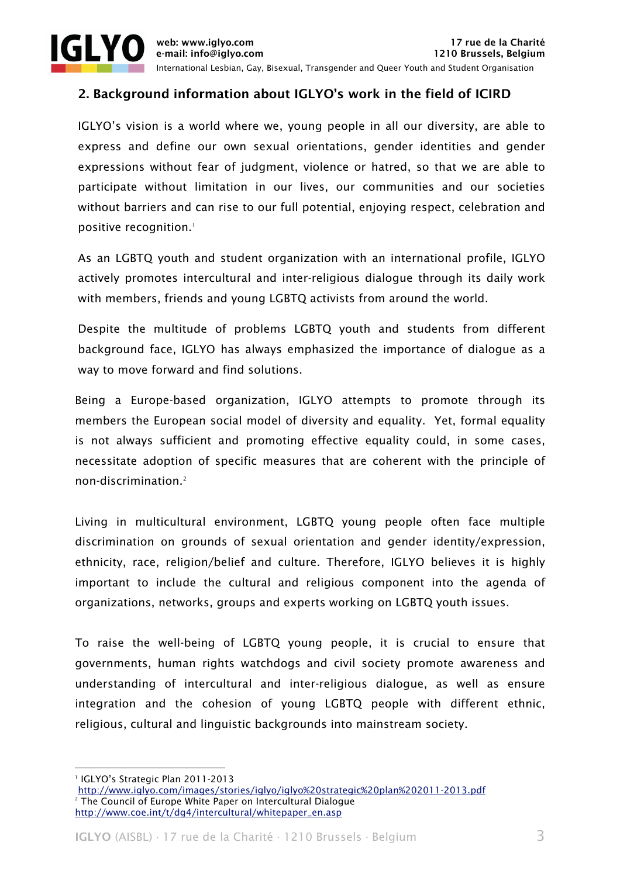

# 2. Background information about IGLYO's work in the field of ICIRD

IGLYO's vision is a world where we, young people in all our diversity, are able to express and define our own sexual orientations, gender identities and gender expressions without fear of judgment, violence or hatred, so that we are able to participate without limitation in our lives, our communities and our societies without barriers and can rise to our full potential, enjoying respect, celebration and positive recognition.<sup>1</sup>

As an LGBTQ youth and student organization with an international profile, IGLYO actively promotes intercultural and inter-religious dialogue through its daily work with members, friends and young LGBTQ activists from around the world.

Despite the multitude of problems LGBTQ youth and students from different background face, IGLYO has always emphasized the importance of dialogue as a way to move forward and find solutions.

Being a Europe-based organization, IGLYO attempts to promote through its members the European social model of diversity and equality. Yet, formal equality is not always sufficient and promoting effective equality could, in some cases, necessitate adoption of specific measures that are coherent with the principle of non-discrimination.2

Living in multicultural environment, LGBTQ young people often face multiple discrimination on grounds of sexual orientation and gender identity/expression, ethnicity, race, religion/belief and culture. Therefore, IGLYO believes it is highly important to include the cultural and religious component into the agenda of organizations, networks, groups and experts working on LGBTQ youth issues.

To raise the well-being of LGBTQ young people, it is crucial to ensure that governments, human rights watchdogs and civil society promote awareness and understanding of intercultural and inter-religious dialogue, as well as ensure integration and the cohesion of young LGBTQ people with different ethnic, religious, cultural and linguistic backgrounds into mainstream society.

<sup>&</sup>lt;u> 1989 - Johann Stein, marwolaethau a bh</u> 1 IGLYO's Strategic Plan 2011-2013

http://www.iglyo.com/images/stories/iglyo/iglyo%20strategic%20plan%202011-2013.pdf 2 The Council of Europe White Paper on Intercultural Dialogue http://www.coe.int/t/dg4/intercultural/whitepaper\_en.asp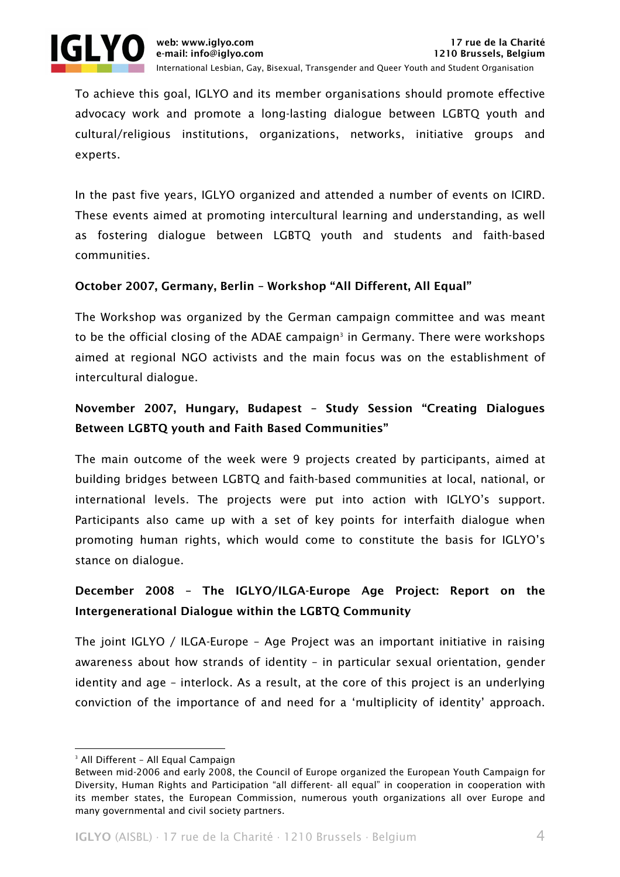

To achieve this goal, IGLYO and its member organisations should promote effective advocacy work and promote a long-lasting dialogue between LGBTQ youth and cultural/religious institutions, organizations, networks, initiative groups and experts.

In the past five years, IGLYO organized and attended a number of events on ICIRD. These events aimed at promoting intercultural learning and understanding, as well as fostering dialogue between LGBTQ youth and students and faith-based communities.

# October 2007, Germany, Berlin – Workshop "All Different, All Equal"

The Workshop was organized by the German campaign committee and was meant to be the official closing of the ADAE campaign<sup>3</sup> in Germany. There were workshops aimed at regional NGO activists and the main focus was on the establishment of intercultural dialogue.

# November 2007, Hungary, Budapest – Study Session "Creating Dialogues Between LGBTQ youth and Faith Based Communities"

The main outcome of the week were 9 projects created by participants, aimed at building bridges between LGBTQ and faith-based communities at local, national, or international levels. The projects were put into action with IGLYO's support. Participants also came up with a set of key points for interfaith dialogue when promoting human rights, which would come to constitute the basis for IGLYO's stance on dialogue.

# December 2008 – The IGLYO/ILGA-Europe Age Project: Report on the Intergenerational Dialogue within the LGBTQ Community

The joint IGLYO / ILGA-Europe – Age Project was an important initiative in raising awareness about how strands of identity – in particular sexual orientation, gender identity and age – interlock. As a result, at the core of this project is an underlying conviction of the importance of and need for a 'multiplicity of identity' approach.

<sup>&</sup>lt;u> 1989 - Johann Stein, marwolaethau a bh</u> 3 All Different – All Equal Campaign

Between mid-2006 and early 2008, the Council of Europe organized the European Youth Campaign for Diversity, Human Rights and Participation "all different- all equal" in cooperation in cooperation with its member states, the European Commission, numerous youth organizations all over Europe and many governmental and civil society partners.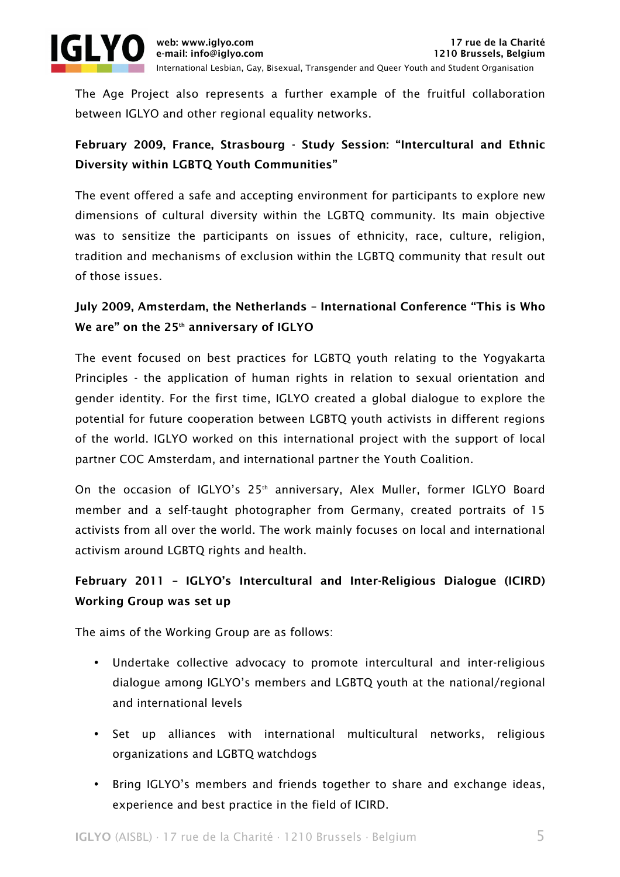

The Age Project also represents a further example of the fruitful collaboration between IGLYO and other regional equality networks.

# February 2009, France, Strasbourg - Study Session: "Intercultural and Ethnic Diversity within LGBTQ Youth Communities"

The event offered a safe and accepting environment for participants to explore new dimensions of cultural diversity within the LGBTQ community. Its main objective was to sensitize the participants on issues of ethnicity, race, culture, religion, tradition and mechanisms of exclusion within the LGBTQ community that result out of those issues.

# July 2009, Amsterdam, the Netherlands – International Conference "This is Who We are" on the  $25<sup>th</sup>$  anniversary of IGLYO

The event focused on best practices for LGBTQ youth relating to the Yogyakarta Principles - the application of human rights in relation to sexual orientation and gender identity. For the first time, IGLYO created a global dialogue to explore the potential for future cooperation between LGBTQ youth activists in different regions of the world. IGLYO worked on this international project with the support of local partner COC Amsterdam, and international partner the Youth Coalition.

On the occasion of IGLYO's 25<sup>th</sup> anniversary, Alex Muller, former IGLYO Board member and a self-taught photographer from Germany, created portraits of 15 activists from all over the world. The work mainly focuses on local and international activism around LGBTQ rights and health.

# February 2011 – IGLYO's Intercultural and Inter-Religious Dialogue (ICIRD) Working Group was set up

The aims of the Working Group are as follows:

- Undertake collective advocacy to promote intercultural and inter-religious dialogue among IGLYO's members and LGBTQ youth at the national/regional and international levels
- Set up alliances with international multicultural networks, religious organizations and LGBTQ watchdogs
- Bring IGLYO's members and friends together to share and exchange ideas, experience and best practice in the field of ICIRD.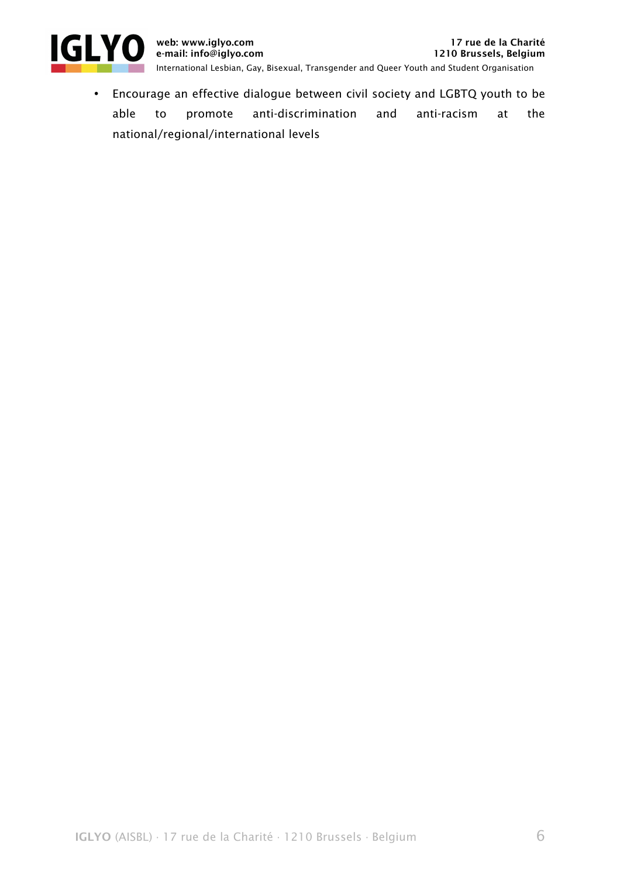

• Encourage an effective dialogue between civil society and LGBTQ youth to be able to promote anti-discrimination and anti-racism at the national/regional/international levels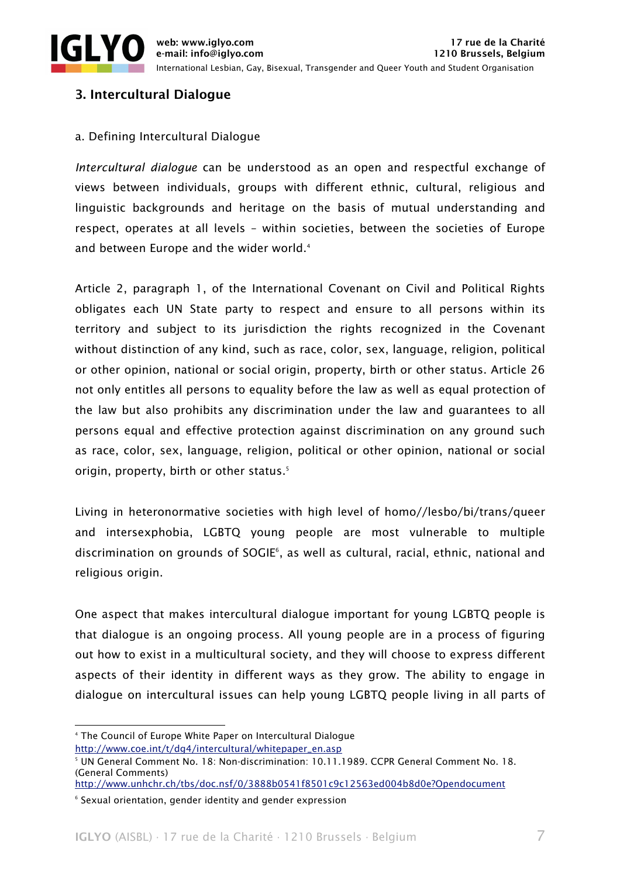

# 3. Intercultural Dialogue

### a. Defining Intercultural Dialogue

*Intercultural dialogue* can be understood as an open and respectful exchange of views between individuals, groups with different ethnic, cultural, religious and linguistic backgrounds and heritage on the basis of mutual understanding and respect, operates at all levels – within societies, between the societies of Europe and between Europe and the wider world.<sup>4</sup>

Article 2, paragraph 1, of the International Covenant on Civil and Political Rights obligates each UN State party to respect and ensure to all persons within its territory and subject to its jurisdiction the rights recognized in the Covenant without distinction of any kind, such as race, color, sex, language, religion, political or other opinion, national or social origin, property, birth or other status. Article 26 not only entitles all persons to equality before the law as well as equal protection of the law but also prohibits any discrimination under the law and guarantees to all persons equal and effective protection against discrimination on any ground such as race, color, sex, language, religion, political or other opinion, national or social origin, property, birth or other status.<sup>5</sup>

Living in heteronormative societies with high level of homo//lesbo/bi/trans/queer and intersexphobia, LGBTQ young people are most vulnerable to multiple discrimination on grounds of SOGIE6 , as well as cultural, racial, ethnic, national and religious origin.

One aspect that makes intercultural dialogue important for young LGBTQ people is that dialogue is an ongoing process. All young people are in a process of figuring out how to exist in a multicultural society, and they will choose to express different aspects of their identity in different ways as they grow. The ability to engage in dialogue on intercultural issues can help young LGBTQ people living in all parts of

<u> 1989 - Johann Stein, marwolaethau a bh</u>

http://www.coe.int/t/dg4/intercultural/whitepaper\_en.asp

<sup>4</sup> The Council of Europe White Paper on Intercultural Dialogue

<sup>5</sup> UN General Comment No. 18: Non-discrimination: 10.11.1989. CCPR General Comment No. 18. (General Comments)

http://www.unhchr.ch/tbs/doc.nsf/0/3888b0541f8501c9c12563ed004b8d0e?Opendocument

<sup>6</sup> Sexual orientation, gender identity and gender expression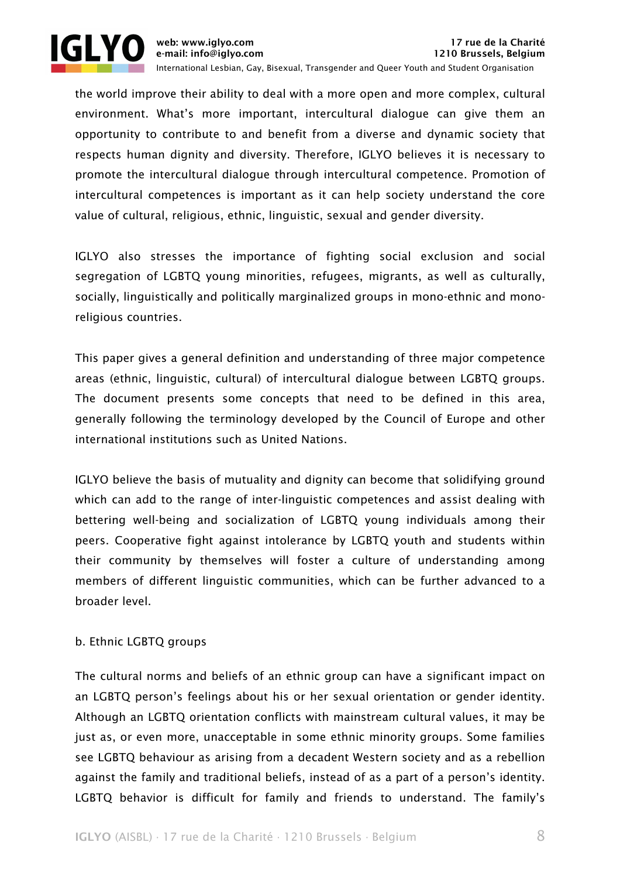

the world improve their ability to deal with a more open and more complex, cultural environment. What's more important, intercultural dialogue can give them an opportunity to contribute to and benefit from a diverse and dynamic society that respects human dignity and diversity. Therefore, IGLYO believes it is necessary to promote the intercultural dialogue through intercultural competence. Promotion of intercultural competences is important as it can help society understand the core value of cultural, religious, ethnic, linguistic, sexual and gender diversity.

IGLYO also stresses the importance of fighting social exclusion and social segregation of LGBTQ young minorities, refugees, migrants, as well as culturally, socially, linguistically and politically marginalized groups in mono-ethnic and monoreligious countries.

This paper gives a general definition and understanding of three major competence areas (ethnic, linguistic, cultural) of intercultural dialogue between LGBTQ groups. The document presents some concepts that need to be defined in this area, generally following the terminology developed by the Council of Europe and other international institutions such as United Nations.

IGLYO believe the basis of mutuality and dignity can become that solidifying ground which can add to the range of inter-linguistic competences and assist dealing with bettering well-being and socialization of LGBTQ young individuals among their peers. Cooperative fight against intolerance by LGBTQ youth and students within their community by themselves will foster a culture of understanding among members of different linguistic communities, which can be further advanced to a broader level.

# b. Ethnic LGBTQ groups

The cultural norms and beliefs of an ethnic group can have a significant impact on an LGBTQ person's feelings about his or her sexual orientation or gender identity. Although an LGBTQ orientation conflicts with mainstream cultural values, it may be just as, or even more, unacceptable in some ethnic minority groups. Some families see LGBTQ behaviour as arising from a decadent Western society and as a rebellion against the family and traditional beliefs, instead of as a part of a person's identity. LGBTQ behavior is difficult for family and friends to understand. The family's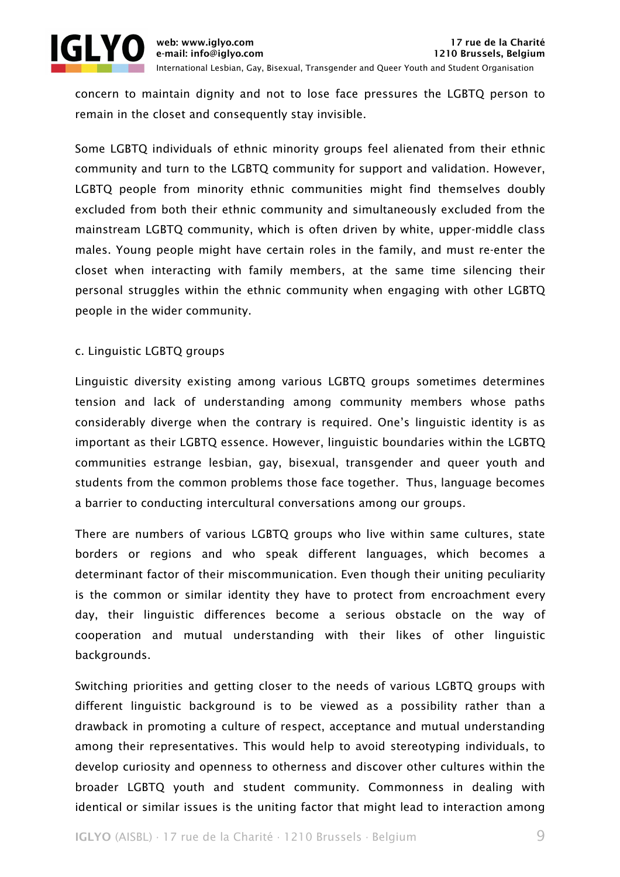

concern to maintain dignity and not to lose face pressures the LGBTQ person to remain in the closet and consequently stay invisible.

Some LGBTQ individuals of ethnic minority groups feel alienated from their ethnic community and turn to the LGBTQ community for support and validation. However, LGBTQ people from minority ethnic communities might find themselves doubly excluded from both their ethnic community and simultaneously excluded from the mainstream LGBTQ community, which is often driven by white, upper-middle class males. Young people might have certain roles in the family, and must re-enter the closet when interacting with family members, at the same time silencing their personal struggles within the ethnic community when engaging with other LGBTQ people in the wider community.

# c. Linguistic LGBTQ groups

Linguistic diversity existing among various LGBTQ groups sometimes determines tension and lack of understanding among community members whose paths considerably diverge when the contrary is required. One's linguistic identity is as important as their LGBTQ essence. However, linguistic boundaries within the LGBTQ communities estrange lesbian, gay, bisexual, transgender and queer youth and students from the common problems those face together. Thus, language becomes a barrier to conducting intercultural conversations among our groups.

There are numbers of various LGBTQ groups who live within same cultures, state borders or regions and who speak different languages, which becomes a determinant factor of their miscommunication. Even though their uniting peculiarity is the common or similar identity they have to protect from encroachment every day, their linguistic differences become a serious obstacle on the way of cooperation and mutual understanding with their likes of other linguistic backgrounds.

Switching priorities and getting closer to the needs of various LGBTQ groups with different linguistic background is to be viewed as a possibility rather than a drawback in promoting a culture of respect, acceptance and mutual understanding among their representatives. This would help to avoid stereotyping individuals, to develop curiosity and openness to otherness and discover other cultures within the broader LGBTQ youth and student community. Commonness in dealing with identical or similar issues is the uniting factor that might lead to interaction among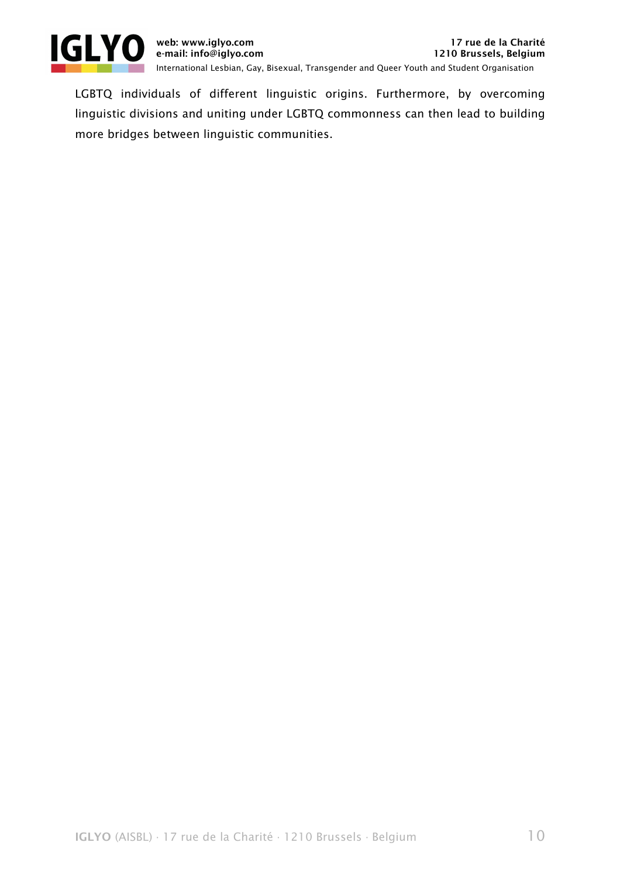

LGBTQ individuals of different linguistic origins. Furthermore, by overcoming linguistic divisions and uniting under LGBTQ commonness can then lead to building more bridges between linguistic communities.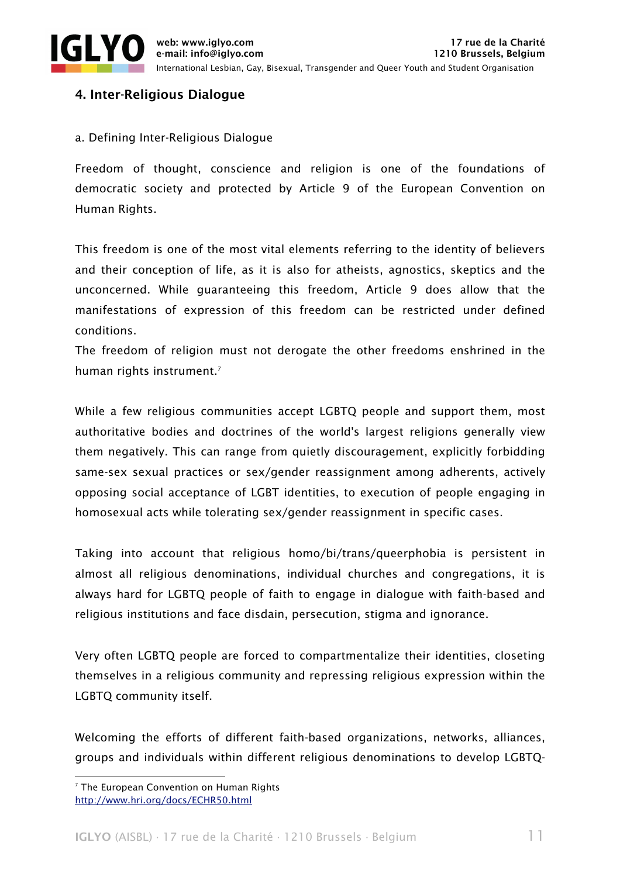

# 4. Inter-Religious Dialogue

# a. Defining Inter-Religious Dialogue

Freedom of thought, conscience and religion is one of the foundations of democratic society and protected by Article 9 of the European Convention on Human Rights.

This freedom is one of the most vital elements referring to the identity of believers and their conception of life, as it is also for atheists, agnostics, skeptics and the unconcerned. While guaranteeing this freedom, Article 9 does allow that the manifestations of expression of this freedom can be restricted under defined conditions.

The freedom of religion must not derogate the other freedoms enshrined in the human rights instrument.<sup>7</sup>

While a few religious communities accept LGBTQ people and support them, most authoritative bodies and doctrines of the world's largest religions generally view them negatively. This can range from quietly discouragement, explicitly forbidding same-sex sexual practices or sex/gender reassignment among adherents, actively opposing social acceptance of LGBT identities, to execution of people engaging in homosexual acts while tolerating sex/gender reassignment in specific cases.

Taking into account that religious homo/bi/trans/queerphobia is persistent in almost all religious denominations, individual churches and congregations, it is always hard for LGBTQ people of faith to engage in dialogue with faith-based and religious institutions and face disdain, persecution, stigma and ignorance.

Very often LGBTQ people are forced to compartmentalize their identities, closeting themselves in a religious community and repressing religious expression within the LGBTQ community itself.

Welcoming the efforts of different faith-based organizations, networks, alliances, groups and individuals within different religious denominations to develop LGBTQ-

<u> 1989 - Johann Stein, marwolaethau a bh</u>

 $7$  The European Convention on Human Rights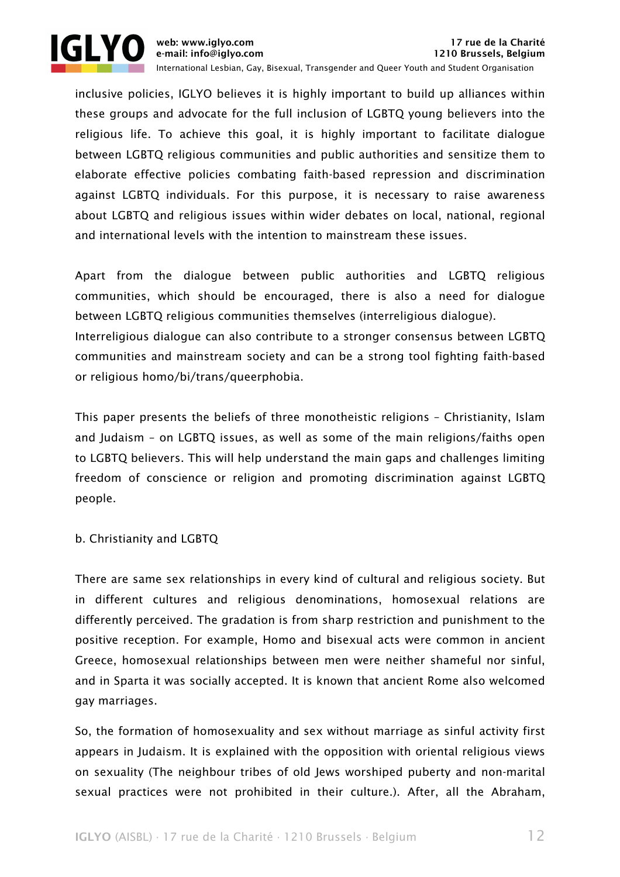

inclusive policies, IGLYO believes it is highly important to build up alliances within these groups and advocate for the full inclusion of LGBTQ young believers into the religious life. To achieve this goal, it is highly important to facilitate dialogue between LGBTQ religious communities and public authorities and sensitize them to elaborate effective policies combating faith-based repression and discrimination against LGBTQ individuals. For this purpose, it is necessary to raise awareness about LGBTQ and religious issues within wider debates on local, national, regional and international levels with the intention to mainstream these issues.

Apart from the dialogue between public authorities and LGBTQ religious communities, which should be encouraged, there is also a need for dialogue between LGBTQ religious communities themselves (interreligious dialogue). Interreligious dialogue can also contribute to a stronger consensus between LGBTQ communities and mainstream society and can be a strong tool fighting faith-based or religious homo/bi/trans/queerphobia.

This paper presents the beliefs of three monotheistic religions – Christianity, Islam and Judaism – on LGBTQ issues, as well as some of the main religions/faiths open to LGBTQ believers. This will help understand the main gaps and challenges limiting freedom of conscience or religion and promoting discrimination against LGBTQ people.

b. Christianity and LGBTQ

There are same sex relationships in every kind of cultural and religious society. But in different cultures and religious denominations, homosexual relations are differently perceived. The gradation is from sharp restriction and punishment to the positive reception. For example, Homo and bisexual acts were common in ancient Greece, homosexual relationships between men were neither shameful nor sinful, and in Sparta it was socially accepted. It is known that ancient Rome also welcomed gay marriages.

So, the formation of homosexuality and sex without marriage as sinful activity first appears in Judaism. It is explained with the opposition with oriental religious views on sexuality (The neighbour tribes of old Jews worshiped puberty and non-marital sexual practices were not prohibited in their culture.). After, all the Abraham,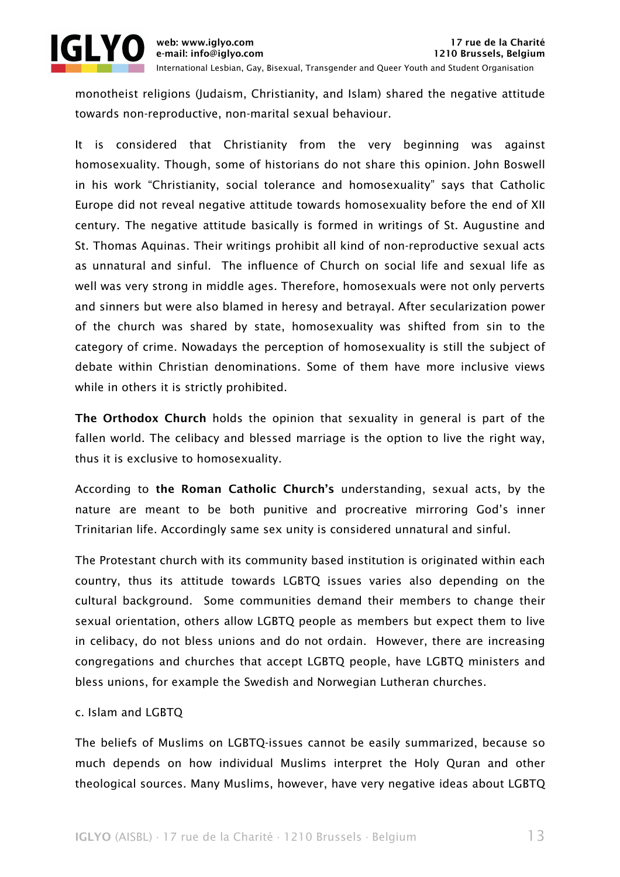

monotheist religions (Judaism, Christianity, and Islam) shared the negative attitude towards non-reproductive, non-marital sexual behaviour.

It is considered that Christianity from the very beginning was against homosexuality. Though, some of historians do not share this opinion. John Boswell in his work "Christianity, social tolerance and homosexuality" says that Catholic Europe did not reveal negative attitude towards homosexuality before the end of XII century. The negative attitude basically is formed in writings of St. Augustine and St. Thomas Aquinas. Their writings prohibit all kind of non-reproductive sexual acts as unnatural and sinful. The influence of Church on social life and sexual life as well was very strong in middle ages. Therefore, homosexuals were not only perverts and sinners but were also blamed in heresy and betrayal. After secularization power of the church was shared by state, homosexuality was shifted from sin to the category of crime. Nowadays the perception of homosexuality is still the subject of debate within Christian denominations. Some of them have more inclusive views while in others it is strictly prohibited.

The Orthodox Church holds the opinion that sexuality in general is part of the fallen world. The celibacy and blessed marriage is the option to live the right way, thus it is exclusive to homosexuality.

According to the Roman Catholic Church's understanding, sexual acts, by the nature are meant to be both punitive and procreative mirroring God's inner Trinitarian life. Accordingly same sex unity is considered unnatural and sinful.

The Protestant church with its community based institution is originated within each country, thus its attitude towards LGBTQ issues varies also depending on the cultural background. Some communities demand their members to change their sexual orientation, others allow LGBTQ people as members but expect them to live in celibacy, do not bless unions and do not ordain. However, there are increasing congregations and churches that accept LGBTQ people, have LGBTQ ministers and bless unions, for example the Swedish and Norwegian Lutheran churches.

# c. Islam and LGBTQ

The beliefs of Muslims on LGBTQ-issues cannot be easily summarized, because so much depends on how individual Muslims interpret the Holy Quran and other theological sources. Many Muslims, however, have very negative ideas about LGBTQ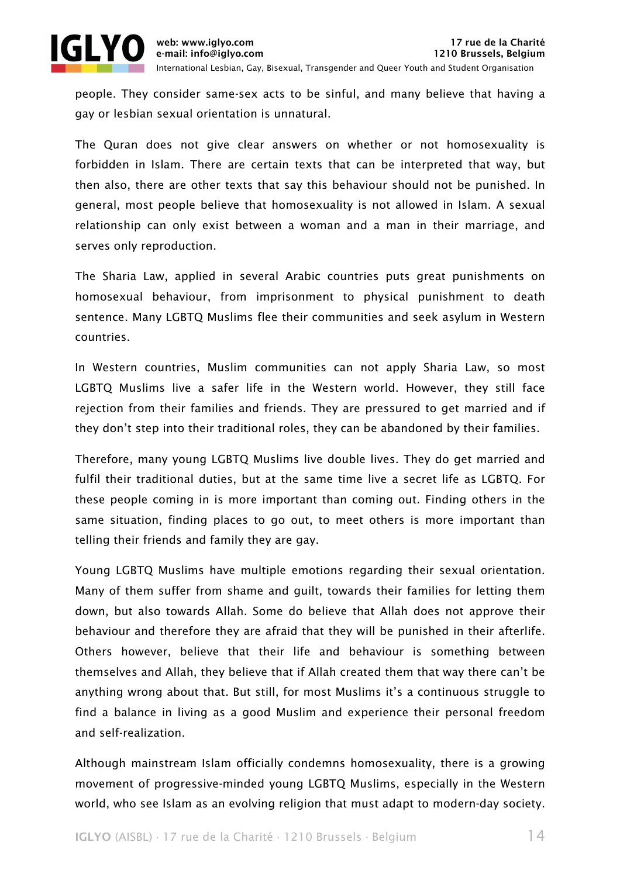



people. They consider same-sex acts to be sinful, and many believe that having a gay or lesbian sexual orientation is unnatural.

The Quran does not give clear answers on whether or not homosexuality is forbidden in Islam. There are certain texts that can be interpreted that way, but then also, there are other texts that say this behaviour should not be punished. In general, most people believe that homosexuality is not allowed in Islam. A sexual relationship can only exist between a woman and a man in their marriage, and serves only reproduction.

The Sharia Law, applied in several Arabic countries puts great punishments on homosexual behaviour, from imprisonment to physical punishment to death sentence. Many LGBTQ Muslims flee their communities and seek asylum in Western countries.

In Western countries, Muslim communities can not apply Sharia Law, so most LGBTQ Muslims live a safer life in the Western world. However, they still face rejection from their families and friends. They are pressured to get married and if they don't step into their traditional roles, they can be abandoned by their families.

Therefore, many young LGBTQ Muslims live double lives. They do get married and fulfil their traditional duties, but at the same time live a secret life as LGBTQ. For these people coming in is more important than coming out. Finding others in the same situation, finding places to go out, to meet others is more important than telling their friends and family they are gay.

Young LGBTQ Muslims have multiple emotions regarding their sexual orientation. Many of them suffer from shame and guilt, towards their families for letting them down, but also towards Allah. Some do believe that Allah does not approve their behaviour and therefore they are afraid that they will be punished in their afterlife. Others however, believe that their life and behaviour is something between themselves and Allah, they believe that if Allah created them that way there can't be anything wrong about that. But still, for most Muslims it's a continuous struggle to find a balance in living as a good Muslim and experience their personal freedom and self-realization.

Although mainstream Islam officially condemns homosexuality, there is a growing movement of progressive-minded young LGBTQ Muslims, especially in the Western world, who see Islam as an evolving religion that must adapt to modern-day society.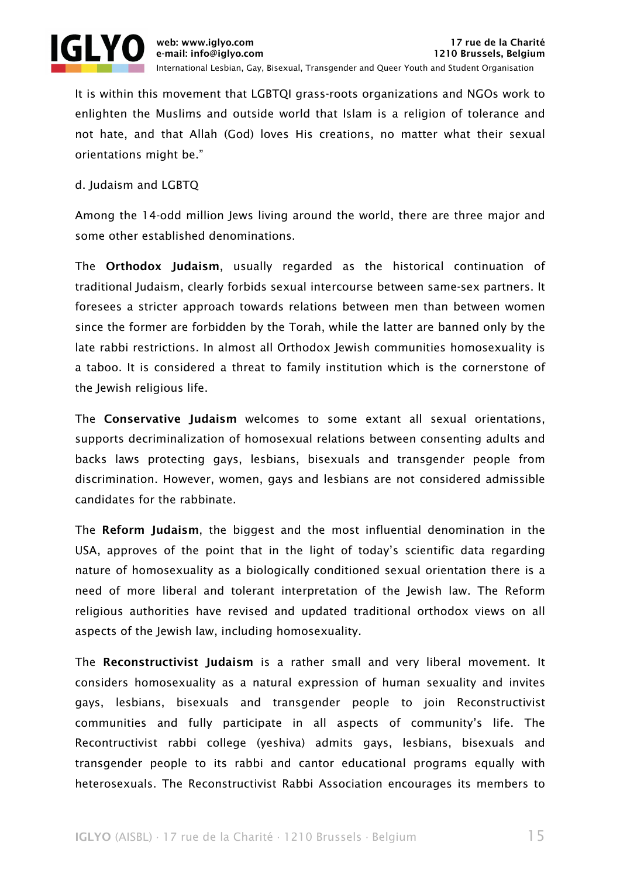

It is within this movement that LGBTQI grass-roots organizations and NGOs work to enlighten the Muslims and outside world that Islam is a religion of tolerance and not hate, and that Allah (God) loves His creations, no matter what their sexual orientations might be."

### d. Judaism and LGBTQ

Among the 14-odd million Jews living around the world, there are three major and some other established denominations.

The Orthodox Judaism, usually regarded as the historical continuation of traditional Judaism, clearly forbids sexual intercourse between same-sex partners. It foresees a stricter approach towards relations between men than between women since the former are forbidden by the Torah, while the latter are banned only by the late rabbi restrictions. In almost all Orthodox Jewish communities homosexuality is a taboo. It is considered a threat to family institution which is the cornerstone of the Jewish religious life.

The Conservative Judaism welcomes to some extant all sexual orientations, supports decriminalization of homosexual relations between consenting adults and backs laws protecting gays, lesbians, bisexuals and transgender people from discrimination. However, women, gays and lesbians are not considered admissible candidates for the rabbinate.

The Reform Judaism, the biggest and the most influential denomination in the USA, approves of the point that in the light of today's scientific data regarding nature of homosexuality as a biologically conditioned sexual orientation there is a need of more liberal and tolerant interpretation of the Jewish law. The Reform religious authorities have revised and updated traditional orthodox views on all aspects of the Jewish law, including homosexuality.

The Reconstructivist Judaism is a rather small and very liberal movement. It considers homosexuality as a natural expression of human sexuality and invites gays, lesbians, bisexuals and transgender people to join Reconstructivist communities and fully participate in all aspects of community's life. The Recontructivist rabbi college (yeshiva) admits gays, lesbians, bisexuals and transgender people to its rabbi and cantor educational programs equally with heterosexuals. The Reconstructivist Rabbi Association encourages its members to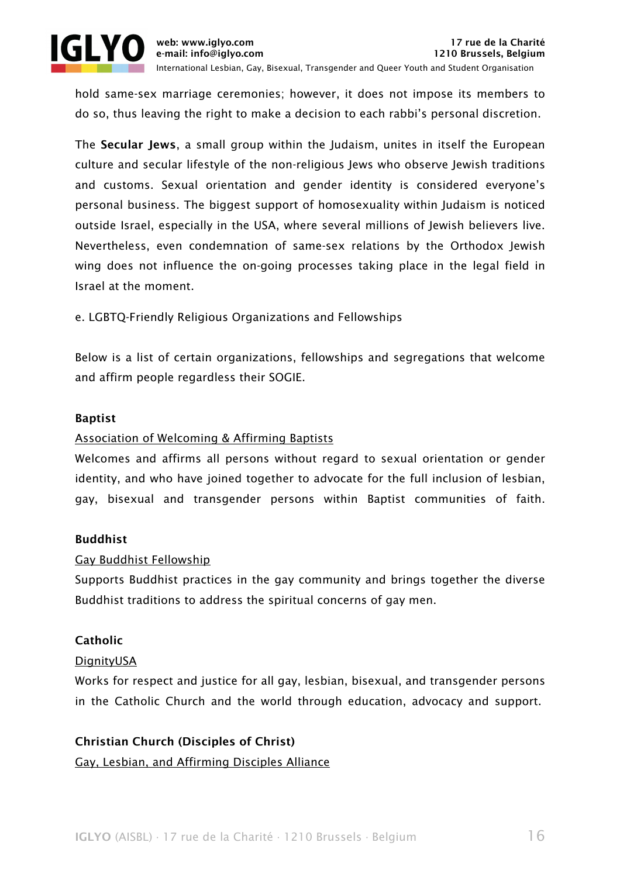

hold same-sex marriage ceremonies; however, it does not impose its members to do so, thus leaving the right to make a decision to each rabbi's personal discretion.

The Secular Jews, a small group within the Judaism, unites in itself the European culture and secular lifestyle of the non-religious Jews who observe Jewish traditions and customs. Sexual orientation and gender identity is considered everyone's personal business. The biggest support of homosexuality within Judaism is noticed outside Israel, especially in the USA, where several millions of Jewish believers live. Nevertheless, even condemnation of same-sex relations by the Orthodox Jewish wing does not influence the on-going processes taking place in the legal field in Israel at the moment.

e. LGBTQ-Friendly Religious Organizations and Fellowships

Below is a list of certain organizations, fellowships and segregations that welcome and affirm people regardless their SOGIE.

# Baptist

# Association of Welcoming & Affirming Baptists

Welcomes and affirms all persons without regard to sexual orientation or gender identity, and who have joined together to advocate for the full inclusion of lesbian, gay, bisexual and transgender persons within Baptist communities of faith.

# Buddhist

# Gay Buddhist Fellowship

Supports Buddhist practices in the gay community and brings together the diverse Buddhist traditions to address the spiritual concerns of gay men.

# Catholic

#### DignityUSA

Works for respect and justice for all gay, lesbian, bisexual, and transgender persons in the Catholic Church and the world through education, advocacy and support.

# Christian Church (Disciples of Christ)

Gay, Lesbian, and Affirming Disciples Alliance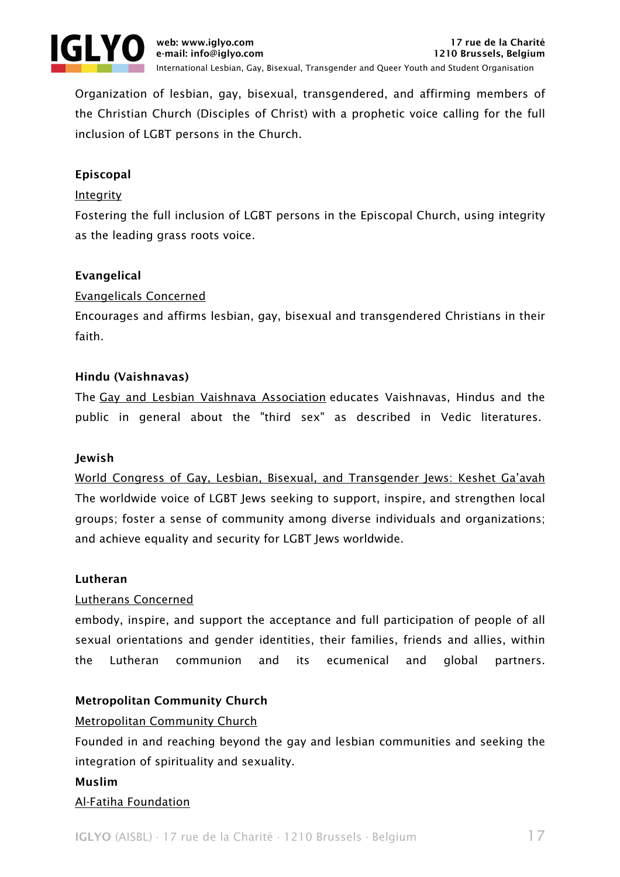

Organization of lesbian, gay, bisexual, transgendered, and affirming members of the Christian Church (Disciples of Christ) with a prophetic voice calling for the full inclusion of LGBT persons in the Church.

# Episcopal

### Integrity

Fostering the full inclusion of LGBT persons in the Episcopal Church, using integrity as the leading grass roots voice.

# Evangelical

#### Evangelicals Concerned

Encourages and affirms lesbian, gay, bisexual and transgendered Christians in their faith.

#### Hindu (Vaishnavas)

The Gay and Lesbian Vaishnava Association educates Vaishnavas, Hindus and the public in general about the "third sex" as described in Vedic literatures.

#### Jewish

World Congress of Gay, Lesbian, Bisexual, and Transgender Jews: Keshet Ga'avah The worldwide voice of LGBT Jews seeking to support, inspire, and strengthen local groups; foster a sense of community among diverse individuals and organizations; and achieve equality and security for LGBT Jews worldwide.

#### Lutheran

# Lutherans Concerned

embody, inspire, and support the acceptance and full participation of people of all sexual orientations and gender identities, their families, friends and allies, within the Lutheran communion and its ecumenical and global partners.

# Metropolitan Community Church

#### Metropolitan Community Church

Founded in and reaching beyond the gay and lesbian communities and seeking the integration of spirituality and sexuality.

#### Muslim

#### Al-Fatiha Foundation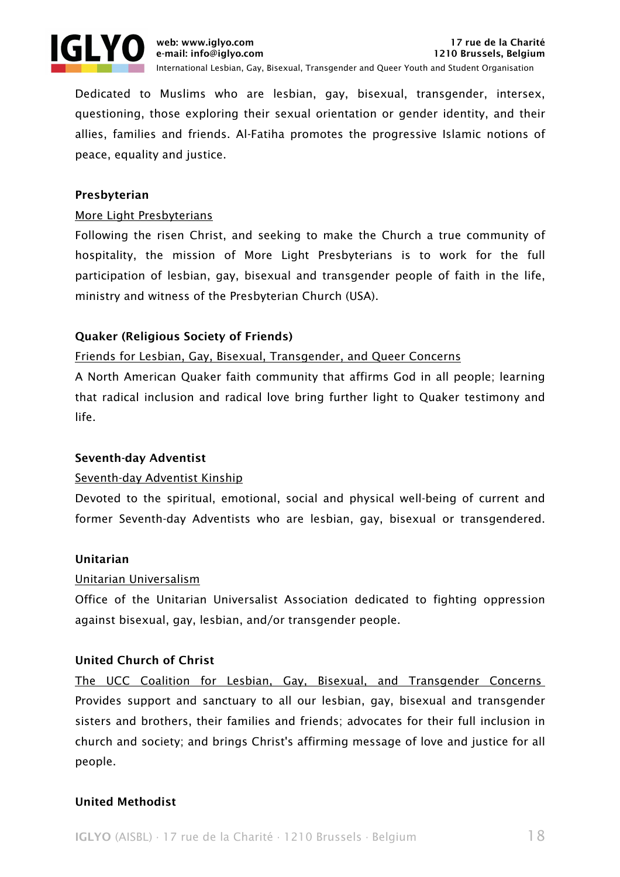

Dedicated to Muslims who are lesbian, gay, bisexual, transgender, intersex, questioning, those exploring their sexual orientation or gender identity, and their allies, families and friends. Al-Fatiha promotes the progressive Islamic notions of peace, equality and justice.

# Presbyterian

# More Light Presbyterians

Following the risen Christ, and seeking to make the Church a true community of hospitality, the mission of More Light Presbyterians is to work for the full participation of lesbian, gay, bisexual and transgender people of faith in the life, ministry and witness of the Presbyterian Church (USA).

# Quaker (Religious Society of Friends)

# Friends for Lesbian, Gay, Bisexual, Transgender, and Queer Concerns

A North American Quaker faith community that affirms God in all people; learning that radical inclusion and radical love bring further light to Quaker testimony and life.

# Seventh-day Adventist

# Seventh-day Adventist Kinship

Devoted to the spiritual, emotional, social and physical well-being of current and former Seventh-day Adventists who are lesbian, gay, bisexual or transgendered.

# Unitarian

# Unitarian Universalism

Office of the Unitarian Universalist Association dedicated to fighting oppression against bisexual, gay, lesbian, and/or transgender people.

# United Church of Christ

The UCC Coalition for Lesbian, Gay, Bisexual, and Transgender Concerns Provides support and sanctuary to all our lesbian, gay, bisexual and transgender sisters and brothers, their families and friends; advocates for their full inclusion in church and society; and brings Christ's affirming message of love and justice for all people.

# United Methodist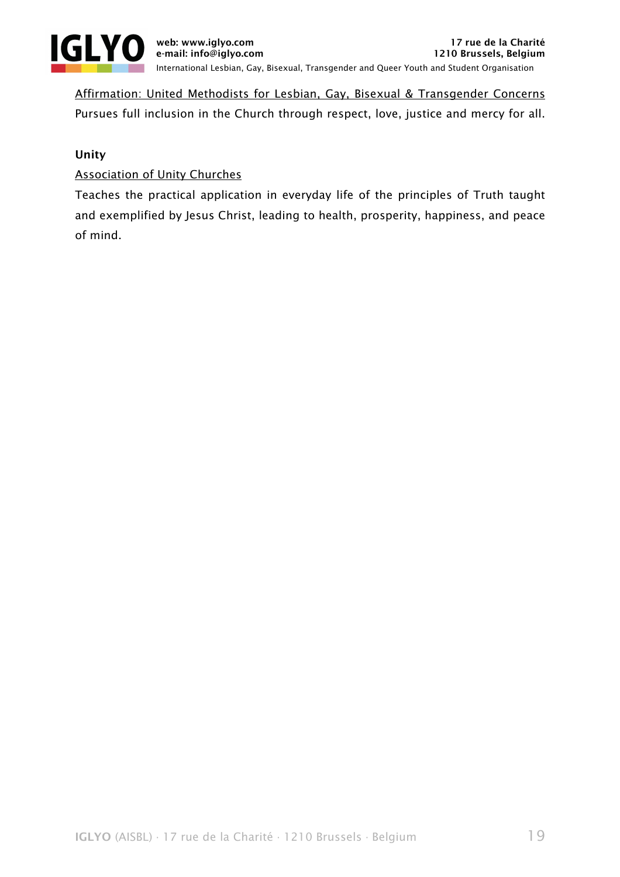

Affirmation: United Methodists for Lesbian, Gay, Bisexual & Transgender Concerns Pursues full inclusion in the Church through respect, love, justice and mercy for all.

# Unity

# Association of Unity Churches

Teaches the practical application in everyday life of the principles of Truth taught and exemplified by Jesus Christ, leading to health, prosperity, happiness, and peace of mind.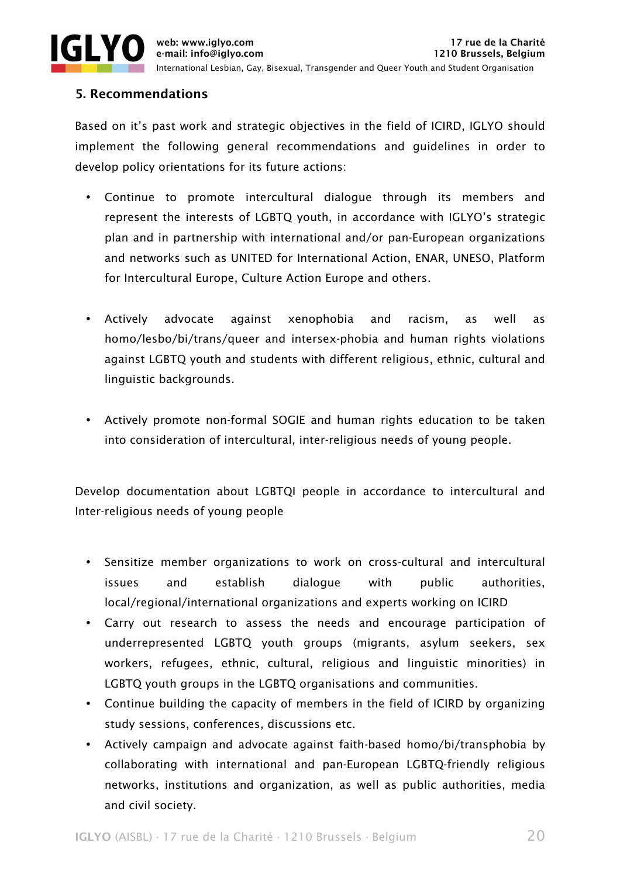

International Lesbian, Gay, Bisexual, Transgender and Queer Youth and Student Organisation

# 5. Recommendations

Based on it's past work and strategic objectives in the field of ICIRD, IGLYO should implement the following general recommendations and guidelines in order to develop policy orientations for its future actions:

- Continue to promote intercultural dialogue through its members and represent the interests of LGBTQ youth, in accordance with IGLYO's strategic plan and in partnership with international and/or pan-European organizations and networks such as UNITED for International Action, ENAR, UNESO, Platform for Intercultural Europe, Culture Action Europe and others.
- Actively advocate against xenophobia and racism, as well as homo/lesbo/bi/trans/queer and intersex-phobia and human rights violations against LGBTQ youth and students with different religious, ethnic, cultural and linguistic backgrounds.
- Actively promote non-formal SOGIE and human rights education to be taken into consideration of intercultural, inter-religious needs of young people.

Develop documentation about LGBTQI people in accordance to intercultural and Inter-religious needs of young people

- Sensitize member organizations to work on cross-cultural and intercultural issues and establish dialogue with public authorities, local/regional/international organizations and experts working on ICIRD
- Carry out research to assess the needs and encourage participation of underrepresented LGBTQ youth groups (migrants, asylum seekers, sex workers, refugees, ethnic, cultural, religious and linguistic minorities) in LGBTQ youth groups in the LGBTQ organisations and communities.
- Continue building the capacity of members in the field of ICIRD by organizing study sessions, conferences, discussions etc.
- Actively campaign and advocate against faith-based homo/bi/transphobia by collaborating with international and pan-European LGBTQ-friendly religious networks, institutions and organization, as well as public authorities, media and civil society.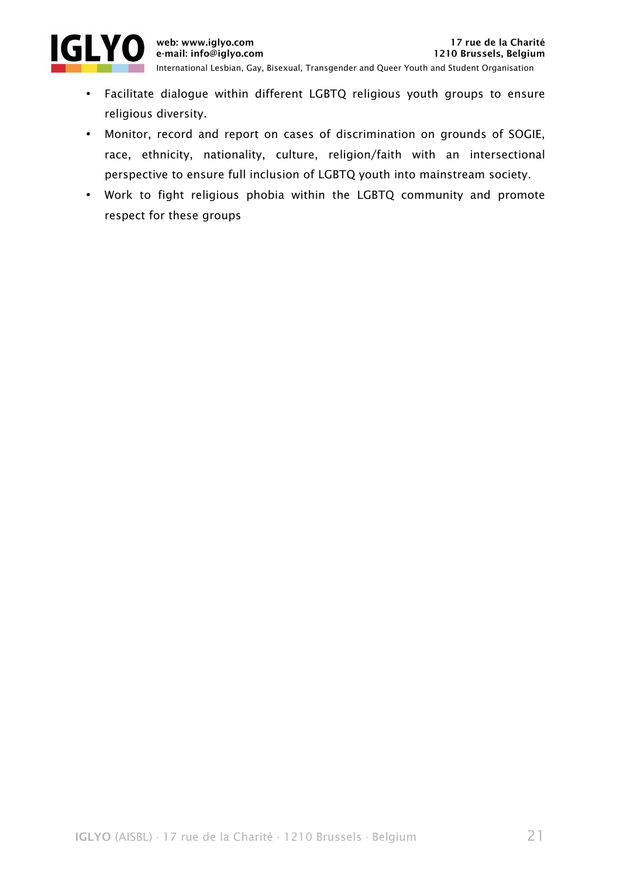

- Facilitate dialogue within different LGBTQ religious youth groups to ensure religious diversity.
- Monitor, record and report on cases of discrimination on grounds of SOGIE, race, ethnicity, nationality, culture, religion/faith with an intersectional perspective to ensure full inclusion of LGBTQ youth into mainstream society.
- Work to fight religious phobia within the LGBTQ community and promote respect for these groups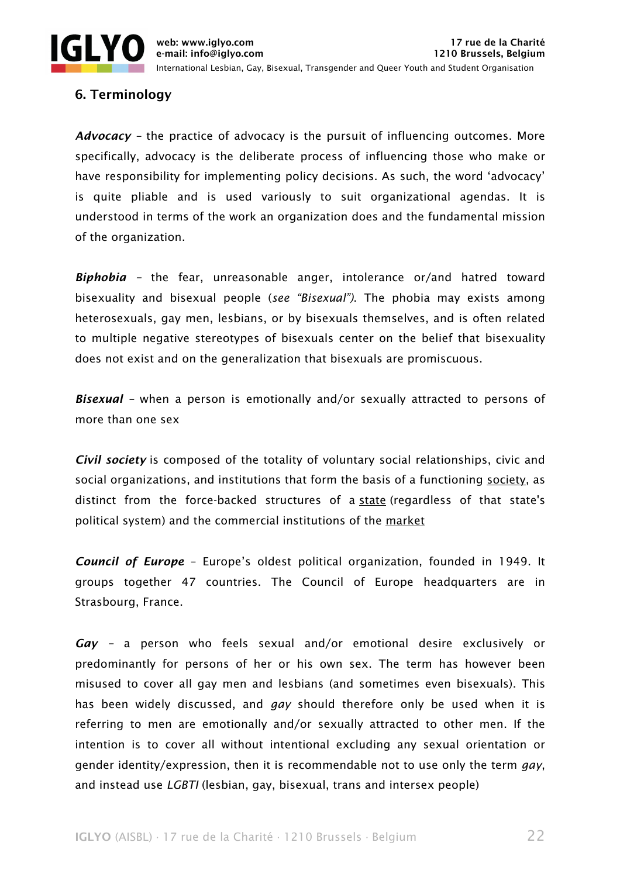

# 6. Terminology

*Advocacy –* the practice of advocacy is the pursuit of influencing outcomes. More specifically, advocacy is the deliberate process of influencing those who make or have responsibility for implementing policy decisions. As such, the word 'advocacy' is quite pliable and is used variously to suit organizational agendas. It is understood in terms of the work an organization does and the fundamental mission of the organization.

*Biphobia –* the fear, unreasonable anger, intolerance or/and hatred toward bisexuality and bisexual people (*see "Bisexual")*. The phobia may exists among heterosexuals, gay men, lesbians, or by bisexuals themselves, and is often related to multiple negative stereotypes of bisexuals center on the belief that bisexuality does not exist and on the generalization that bisexuals are promiscuous.

*Bisexual –* when a person is emotionally and/or sexually attracted to persons of more than one sex

*Civil society* is composed of the totality of voluntary social relationships, civic and social organizations, and institutions that form the basis of a functioning society, as distinct from the force-backed structures of a state (regardless of that state's political system) and the commercial institutions of the market

*Council of Europe* – Europe's oldest political organization, founded in 1949. It groups together 47 countries. The Council of Europe headquarters are in Strasbourg, France.

*Gay –* a person who feels sexual and/or emotional desire exclusively or predominantly for persons of her or his own sex. The term has however been misused to cover all gay men and lesbians (and sometimes even bisexuals). This has been widely discussed, and *gay* should therefore only be used when it is referring to men are emotionally and/or sexually attracted to other men. If the intention is to cover all without intentional excluding any sexual orientation or gender identity/expression, then it is recommendable not to use only the term *gay*, and instead use *LGBTI* (lesbian, gay, bisexual, trans and intersex people)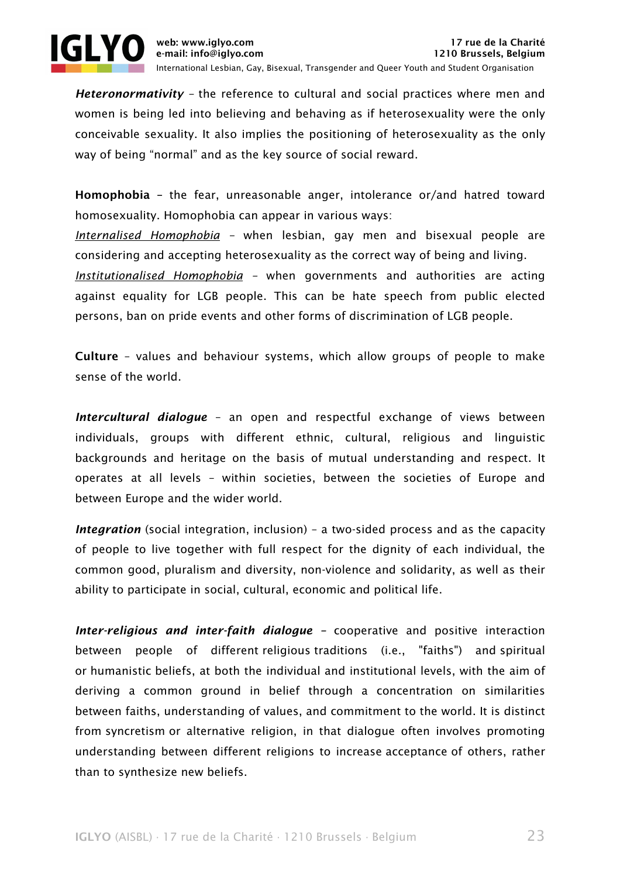

*Heteronormativity –* the reference to cultural and social practices where men and women is being led into believing and behaving as if heterosexuality were the only conceivable sexuality. It also implies the positioning of heterosexuality as the only way of being "normal" and as the key source of social reward.

Homophobia – the fear, unreasonable anger, intolerance or/and hatred toward homosexuality. Homophobia can appear in various ways:

*Internalised Homophobia –* when lesbian, gay men and bisexual people are considering and accepting heterosexuality as the correct way of being and living.

*Institutionalised Homophobia –* when governments and authorities are acting against equality for LGB people. This can be hate speech from public elected persons, ban on pride events and other forms of discrimination of LGB people.

Culture – values and behaviour systems, which allow groups of people to make sense of the world.

*Intercultural dialogue* – an open and respectful exchange of views between individuals, groups with different ethnic, cultural, religious and linguistic backgrounds and heritage on the basis of mutual understanding and respect. It operates at all levels – within societies, between the societies of Europe and between Europe and the wider world.

*Integration* (social integration, inclusion) – a two-sided process and as the capacity of people to live together with full respect for the dignity of each individual, the common good, pluralism and diversity, non-violence and solidarity, as well as their ability to participate in social, cultural, economic and political life.

*Inter-religious and inter-faith dialogue –* cooperative and positive interaction between people of different religious traditions (i.e., "faiths") and spiritual or humanistic beliefs, at both the individual and institutional levels, with the aim of deriving a common ground in belief through a concentration on similarities between faiths, understanding of values, and commitment to the world. It is distinct from syncretism or alternative religion, in that dialogue often involves promoting understanding between different religions to increase acceptance of others, rather than to synthesize new beliefs.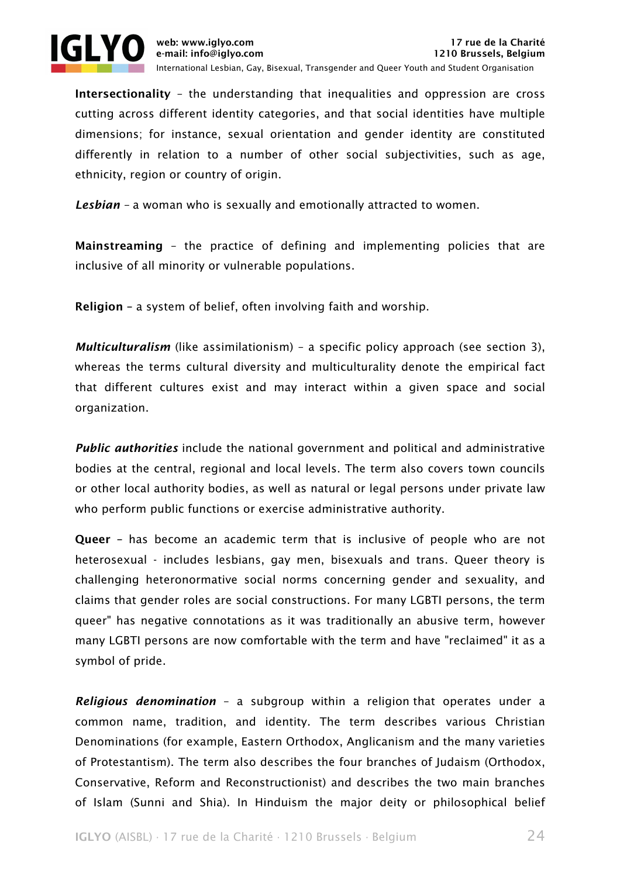

Intersectionality – the understanding that inequalities and oppression are cross cutting across different identity categories, and that social identities have multiple dimensions; for instance, sexual orientation and gender identity are constituted differently in relation to a number of other social subjectivities, such as age, ethnicity, region or country of origin.

*Lesbian –* a woman who is sexually and emotionally attracted to women.

Mainstreaming – the practice of defining and implementing policies that are inclusive of all minority or vulnerable populations.

Religion – a system of belief, often involving faith and worship.

*Multiculturalism* (like assimilationism) – a specific policy approach (see section 3), whereas the terms cultural diversity and multiculturality denote the empirical fact that different cultures exist and may interact within a given space and social organization.

*Public authorities* include the national government and political and administrative bodies at the central, regional and local levels. The term also covers town councils or other local authority bodies, as well as natural or legal persons under private law who perform public functions or exercise administrative authority.

Queer – has become an academic term that is inclusive of people who are not heterosexual - includes lesbians, gay men, bisexuals and trans. Queer theory is challenging heteronormative social norms concerning gender and sexuality, and claims that gender roles are social constructions. For many LGBTI persons, the term queer" has negative connotations as it was traditionally an abusive term, however many LGBTI persons are now comfortable with the term and have "reclaimed" it as a symbol of pride.

*Religious denomination* – a subgroup within a religion that operates under a common name, tradition, and identity. The term describes various Christian Denominations (for example, Eastern Orthodox, Anglicanism and the many varieties of Protestantism). The term also describes the four branches of Judaism (Orthodox, Conservative, Reform and Reconstructionist) and describes the two main branches of Islam (Sunni and Shia). In Hinduism the major deity or philosophical belief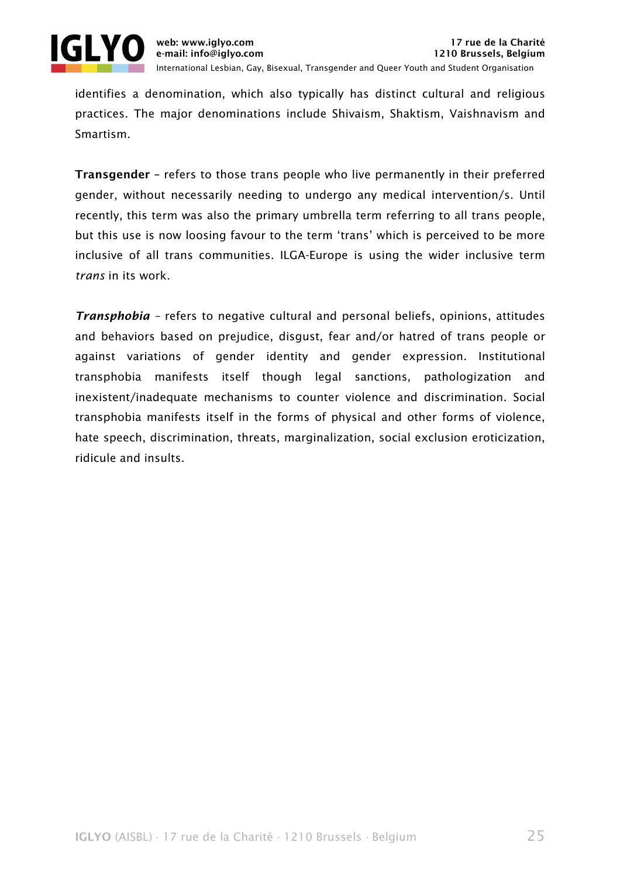

identifies a denomination, which also typically has distinct cultural and religious practices. The major denominations include Shivaism, Shaktism, Vaishnavism and Smartism.

Transgender – refers to those trans people who live permanently in their preferred gender, without necessarily needing to undergo any medical intervention/s. Until recently, this term was also the primary umbrella term referring to all trans people, but this use is now loosing favour to the term 'trans' which is perceived to be more inclusive of all trans communities. ILGA-Europe is using the wider inclusive term *trans* in its work.

*Transphobia –* refers to negative cultural and personal beliefs, opinions, attitudes and behaviors based on prejudice, disgust, fear and/or hatred of trans people or against variations of gender identity and gender expression. Institutional transphobia manifests itself though legal sanctions, pathologization and inexistent/inadequate mechanisms to counter violence and discrimination. Social transphobia manifests itself in the forms of physical and other forms of violence, hate speech, discrimination, threats, marginalization, social exclusion eroticization, ridicule and insults.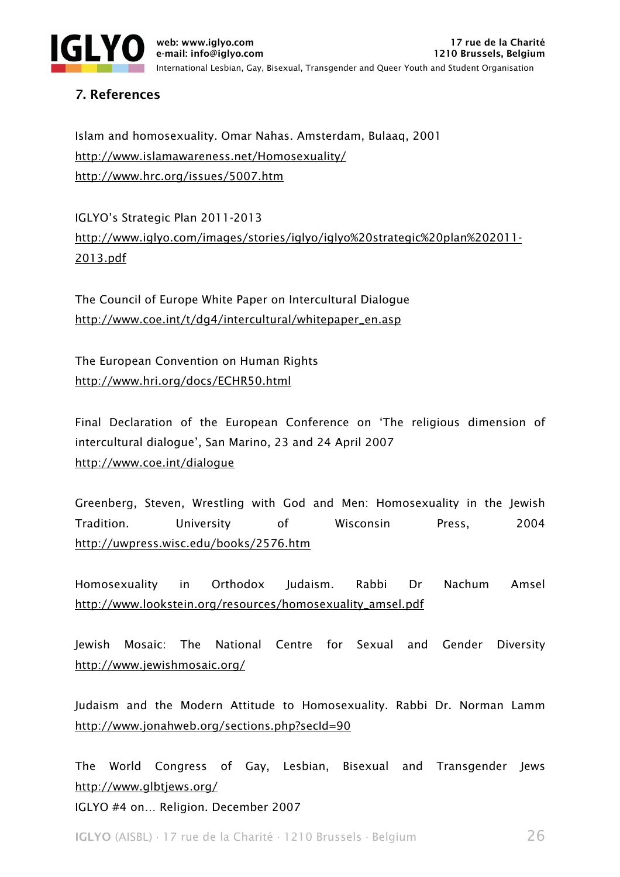

# 7. References

Islam and homosexuality. Omar Nahas. Amsterdam, Bulaaq, 2001 http://www.islamawareness.net/Homosexuality/ http://www.hrc.org/issues/5007.htm

IGLYO's Strategic Plan 2011-2013 http://www.iglyo.com/images/stories/iglyo/iglyo%20strategic%20plan%202011- 2013.pdf

The Council of Europe White Paper on Intercultural Dialogue http://www.coe.int/t/dg4/intercultural/whitepaper\_en.asp

The European Convention on Human Rights http://www.hri.org/docs/ECHR50.html

Final Declaration of the European Conference on 'The religious dimension of intercultural dialogue', San Marino, 23 and 24 April 2007 http://www.coe.int/dialogue

Greenberg, Steven, Wrestling with God and Men: Homosexuality in the Jewish Tradition. University of Wisconsin Press, 2004 http://uwpress.wisc.edu/books/2576.htm

Homosexuality in Orthodox Judaism. Rabbi Dr Nachum Amsel http://www.lookstein.org/resources/homosexuality\_amsel.pdf

Jewish Mosaic: The National Centre for Sexual and Gender Diversity http://www.jewishmosaic.org/

Judaism and the Modern Attitude to Homosexuality. Rabbi Dr. Norman Lamm http://www.jonahweb.org/sections.php?secId=90

The World Congress of Gay, Lesbian, Bisexual and Transgender Jews http://www.glbtjews.org/

IGLYO #4 on… Religion. December 2007

IGLYO (AISBL) ∙ 17 rue de la Charité ∙ 1210 Brussels ∙ Belgium 26